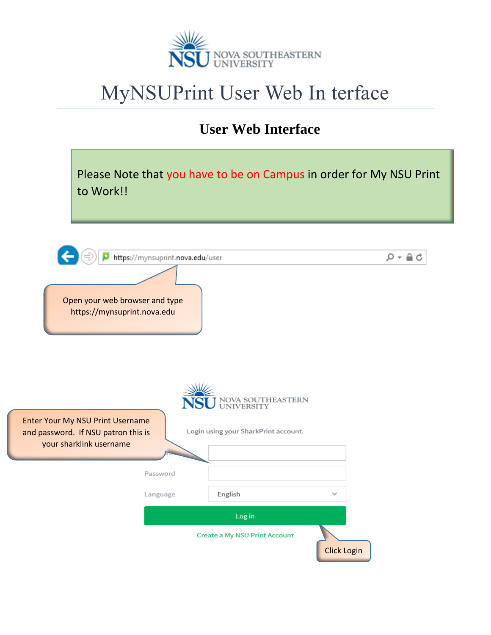

# MyNSUPrint User Web In terface

#### **User Web Interface**

Please Note that you have to be on Campus in order for My NSU Print to Work!!

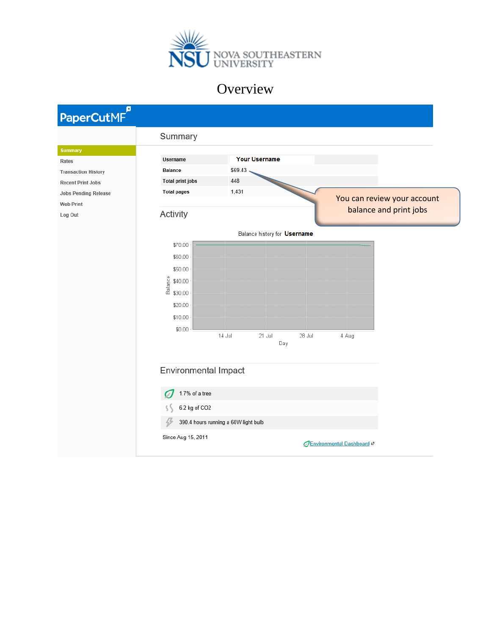

#### **Overview**

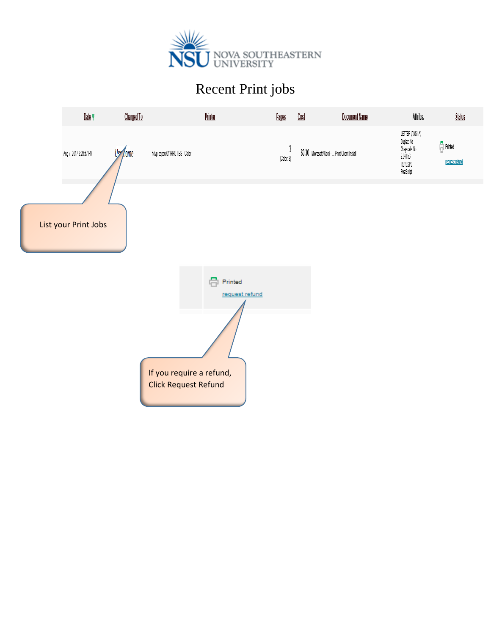

## Recent Print jobs

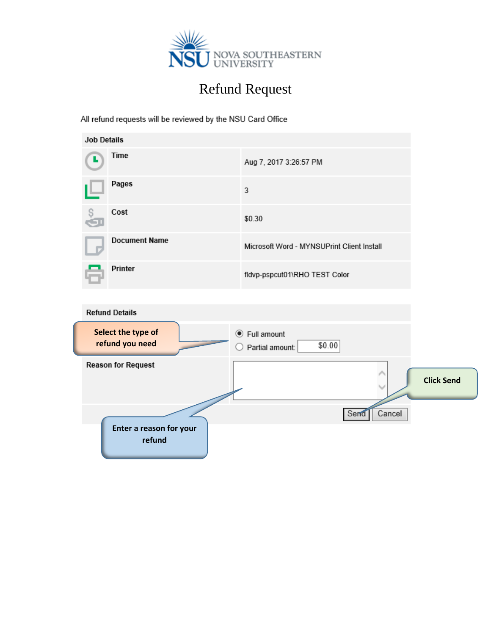

#### Refund Request

All refund requests will be reviewed by the NSU Card Office

**Enter a reason for your refund**

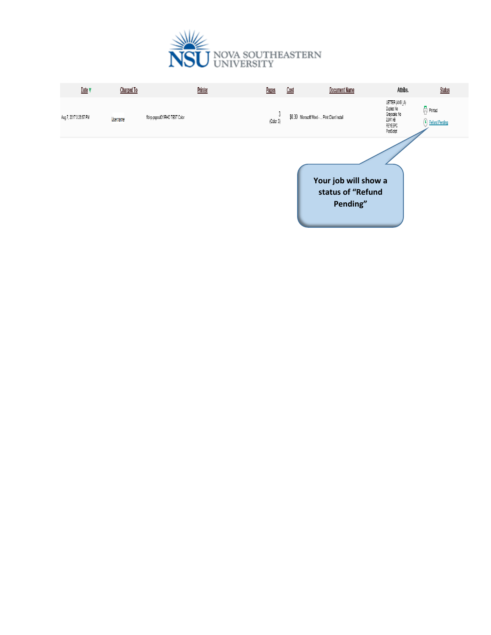

| Date                   | Charged To | <b>Printer</b>                | Pages           | Cost                                          | <b>Document Name</b>                                  | Attribs.                                                                            | <b>Status</b>                                      |
|------------------------|------------|-------------------------------|-----------------|-----------------------------------------------|-------------------------------------------------------|-------------------------------------------------------------------------------------|----------------------------------------------------|
| Aug 7, 2017 3:26:57 PM | Username   | fldvp-pspcut01\RHO TEST Color | 3<br>(Color. 3) | \$0.30 Microsoft Word -  Print Client Install |                                                       | LETTER (ANSI_A)<br>Duplex: No<br>Grayscale: No<br>2,841 kB<br>REYESPO<br>PostScript | $\frac{1}{\sqrt{2}}$ Printed<br>(4) Refund Pending |
|                        |            |                               |                 |                                               | Your job will show a<br>status of "Refund<br>Pending" |                                                                                     |                                                    |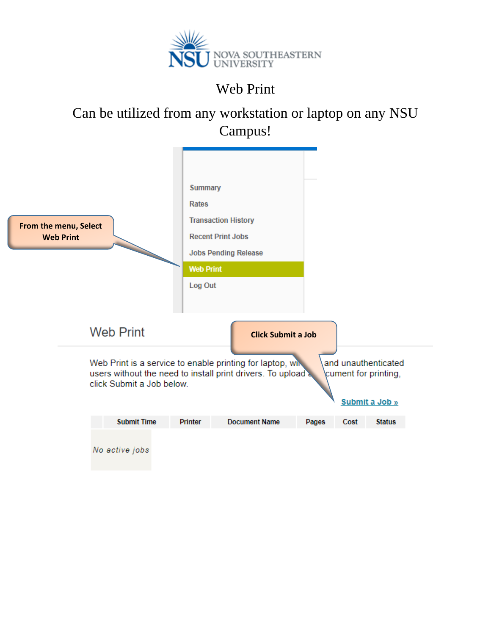

# Web Print

### Can be utilized from any workstation or laptop on any NSU Campus!

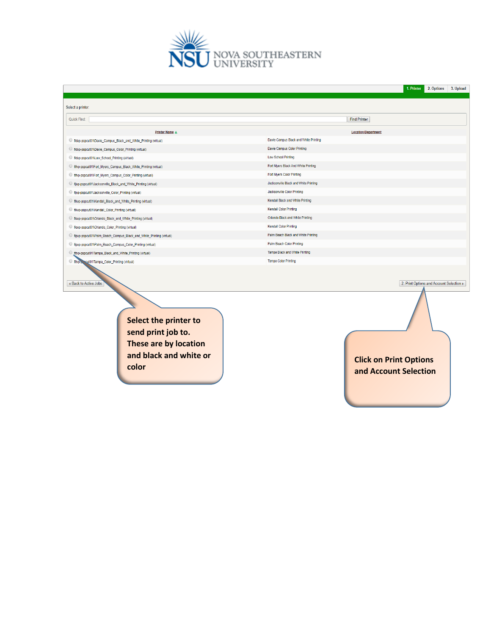

|                                                                       | 1. Printer<br>2. Options<br>3. Upload                  |
|-----------------------------------------------------------------------|--------------------------------------------------------|
| Select a printer:                                                     |                                                        |
| Quick Find:                                                           | <b>Find Printer</b>                                    |
| Printer Name A                                                        | <b>Location/Department</b>                             |
| O fldvp-pspcut01\Davie_Campus_Black_and_White_Printing (virtual)      | Davie Campus Black and White Printing                  |
| O fldvp-pspcut01\Davie_Campus_Color_Printing (virtual)                | Davie Campus Color Printing                            |
| ndvp-pspcut01\Law_School_Printing (virtual)                           | Law School Printing                                    |
| O fifvp-pspcut01\Fort_Myers_Campus_Black_White_Printing (virtual)     | Fort Myers Black And White Printing                    |
| O fifvp-pspcut01\Fort_Myers_Campus_Color_Printing (virtual)           | Fort Myers Color Printing                              |
| O fljvp-pspcut01\Jacksonville_Black_and_White_Printing (virtual)      | Jacksonville Black and White Printing                  |
| O fljvp-pspcut01\Jacksonville_Color_Printing (virtual)                | Jacksonville Color Printing                            |
| O fikvp-pspcut01\Kendall_Black_and_White_Printing (virtual)           | Kendall Black and White Printing                       |
| nikvp-pspcut01\Kendall_Color_Printing (virtual)                       | <b>Kendall Color Printing</b>                          |
| O flovp-pspcut01\Orlando_Black_and_White_Printing (virtual)           | Orlando Black and White Printing                       |
| O flovp-pspcut01\Orlando_Color_Printing (virtual)                     | <b>Kendall Color Printing</b>                          |
| C flpvp-pspcut01\Palm_Beach_Campus_Black_and_White_Printing (virtual) | Palm Beach Black and White Printing                    |
| C flpvp-pspcut01\Palm_Beach_Campus_Color_Printing (virtual)           | Palm Beach Color Printing                              |
| O fitvp-pspcut01\Tampa_Black_and_White_Printing (virtual)             | Tampa Black and White Printing                         |
| O fitvp-p ncut01\Tampa_Color_Printing (virtual)                       | <b>Tampa Color Printing</b>                            |
| « Back to Active Jobs                                                 | 2. Print Options and Account Selection »               |
| Select the printer to<br>send print job to.<br>These are by location  |                                                        |
| and black and white or<br>color                                       | <b>Click on Print Options</b><br>and Account Selection |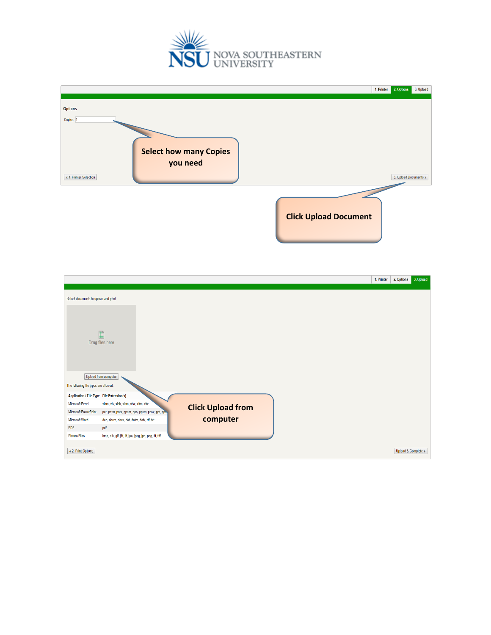

|                                                                                                                                                                                                                                                                                                                                                                                                      | 1. Printer | 2. Options 3. Upload  |           |
|------------------------------------------------------------------------------------------------------------------------------------------------------------------------------------------------------------------------------------------------------------------------------------------------------------------------------------------------------------------------------------------------------|------------|-----------------------|-----------|
| <b>Options</b><br>Copies: 1<br><b>Select how many Copies</b><br>you need<br>« 1. Printer Selection                                                                                                                                                                                                                                                                                                   |            | 3. Upload Documents » |           |
| <b>Click Upload Document</b>                                                                                                                                                                                                                                                                                                                                                                         |            |                       |           |
|                                                                                                                                                                                                                                                                                                                                                                                                      | 1. Printer | 2. Options            | 3. Upload |
| Select documents to upload and print                                                                                                                                                                                                                                                                                                                                                                 |            |                       |           |
| F<br>Drag files here                                                                                                                                                                                                                                                                                                                                                                                 |            |                       |           |
| Upload from computer<br>The following file types are allowed:                                                                                                                                                                                                                                                                                                                                        |            |                       |           |
| Application / File Type File Extension(s)<br>Microsoft Excel<br>xlam, xls, xlsb, xlsm, xlsx, xltm, xltx<br><b>Click Upload from</b><br>Microsoft PowerPoint<br>pot, potm, potx, ppam, pps, ppsm, ppsx, ppt, ppt<br>computer<br><b>Microsoft Word</b><br>doc, docm, docx, dot, dotm, dotx, rtf, txt<br>PDF<br>pdf<br><b>Picture Files</b><br>bmp, dib, gif, jfif, jif, jpe, jpeg, jpg, png, tif, tiff |            |                       |           |

Upload & Complete »

 $\alpha$  2. Print Options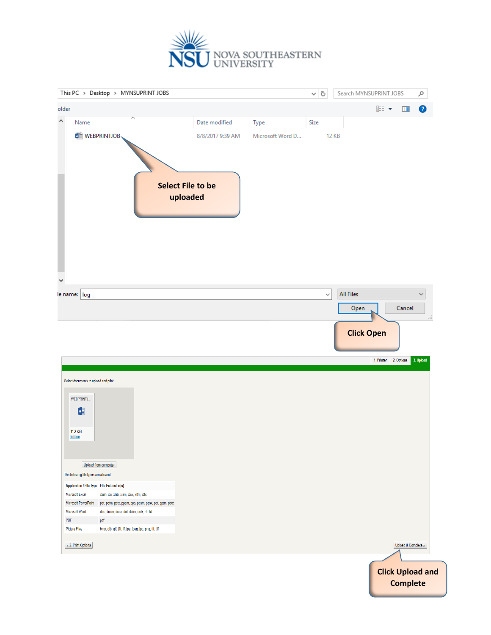

|                                                                                     | This PC > Desktop > MYNSUPRINT JOBS                      |                                      |                  | $\sim$ 0     | Search MYNSUPRINT JOBS |                          | مر              |
|-------------------------------------------------------------------------------------|----------------------------------------------------------|--------------------------------------|------------------|--------------|------------------------|--------------------------|-----------------|
| older                                                                               |                                                          |                                      |                  |              |                        | <b>BEE</b><br>$\Box$     | 0               |
| Name                                                                                | ᄉ                                                        | Date modified                        | Type             | Size         |                        |                          |                 |
|                                                                                     | WEBPRINTJOB                                              | 8/8/2017 9:39 AM                     | Microsoft Word D |              | <b>12 KB</b>           |                          |                 |
|                                                                                     |                                                          | <b>Select File to be</b><br>uploaded |                  |              |                        |                          |                 |
| ٧<br>le name: log                                                                   |                                                          |                                      |                  | $\checkmark$ | All Files<br>Open      | Cancel                   | $\checkmark$    |
|                                                                                     |                                                          |                                      |                  |              | <b>Click Open</b>      | 2. Options<br>1. Printer | a.<br>3. Upload |
| Select documents to upload and print<br>WEBPRINTJ<br>W<br><b>11.2 KiB</b><br>remove |                                                          |                                      |                  |              |                        |                          |                 |
|                                                                                     | Upload from computer                                     |                                      |                  |              |                        |                          |                 |
| The following file types are allowed:                                               |                                                          |                                      |                  |              |                        |                          |                 |
| Application / File Type File Extension(s)                                           |                                                          |                                      |                  |              |                        |                          |                 |
| Microsoft Excel                                                                     | xlam, xls, xlsb, xlsm, xlsx, xltm, xltx                  |                                      |                  |              |                        |                          |                 |
| Microsoft PowerPoint                                                                | pot, potm, potx, ppam, pps, ppsm, ppsx, ppt, pptm, pptx  |                                      |                  |              |                        |                          |                 |
| Microsoft Word                                                                      | doc, docm, docx, dot, dotm, dotx, rtf, txt               |                                      |                  |              |                        |                          |                 |
| PDF                                                                                 | pdf                                                      |                                      |                  |              |                        |                          |                 |
| <b>Picture Files</b>                                                                | bmp, dib, gif, jfif, jif, jpe, jpeg, jpg, png, tif, tiff |                                      |                  |              |                        |                          |                 |
| $\kappa$ 2. Print Options                                                           |                                                          |                                      |                  |              |                        | Upload & Complete »      |                 |
|                                                                                     |                                                          |                                      |                  |              |                        | <b>Click Upload and</b>  |                 |
|                                                                                     |                                                          |                                      |                  |              |                        | <b>Complete</b>          |                 |